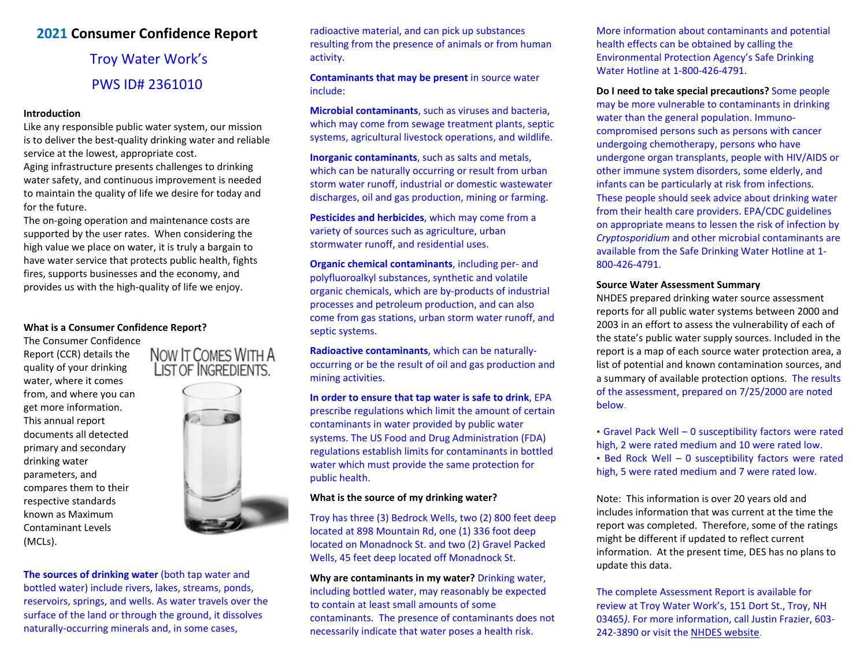# **2021 Consumer Confidence Report**

# Troy Water Work's PWS ID# 2361010

### **Introduction**

Like any responsible public water system, our mission is to deliver the best-quality drinking water and reliable service at the lowest, appropriate cost.

Aging infrastructure presents challenges to drinking water safety, and continuous improvement is needed to maintain the quality of life we desire for today and for the future.

The on-going operation and maintenance costs are supported by the user rates. When considering the high value we place on water, it is truly a bargain to have water service that protects public health, fights fires, supports businesses and the economy, and provides us with the high-quality of life we enjoy.

# **What is a Consumer Confidence Report?**

The Consumer Confidence<br>Report (CCR) details the NOW IT COMES WITH A Report (CCR) details the quality of your drinking LIST OF INGREDIENTS. water, where it comes from, and where you can get more information. This annual report documents all detected primary and secondary drinking water parameters, and compares them to their respective standards known as Maximum Contaminant Levels (MCLs).



**The sources of drinking water** (both tap water and bottled water) include rivers, lakes, streams, ponds, reservoirs, springs, and wells. As water travels over the surface of the land or through the ground, it dissolves naturally-occurring minerals and, in some cases,

radioactive material, and can pick up substances resulting from the presence of animals or from human activity.

**Contaminants that may be present** in source water include:

**Microbial contaminants**, such as viruses and bacteria, which may come from sewage treatment plants, septic systems, agricultural livestock operations, and wildlife.

**Inorganic contaminants**, such as salts and metals, which can be naturally occurring or result from urban storm water runoff, industrial or domestic wastewater discharges, oil and gas production, mining or farming.

**Pesticides and herbicides**, which may come from a variety of sources such as agriculture, urban stormwater runoff, and residential uses.

**Organic chemical contaminants**, including per- and polyfluoroalkyl substances, synthetic and volatile organic chemicals, which are by-products of industrial processes and petroleum production, and can also come from gas stations, urban storm water runoff, and septic systems.

**Radioactive contaminants**, which can be naturallyoccurring or be the result of oil and gas production and mining activities.

**In order to ensure that tap water is safe to drink**, EPA prescribe regulations which limit the amount of certain contaminants in water provided by public water systems. The US Food and Drug Administration (FDA) regulations establish limits for contaminants in bottled water which must provide the same protection for public health.

#### **What is the source of my drinking water?**

Troy has three (3) Bedrock Wells, two (2) 800 feet deep located at 898 Mountain Rd, one (1) 336 foot deep located on Monadnock St. and two (2) Gravel Packed Wells, 45 feet deep located off Monadnock St.

**Why are contaminants in my water?** Drinking water, including bottled water, may reasonably be expected to contain at least small amounts of some contaminants. The presence of contaminants does not necessarily indicate that water poses a health risk.

More information about contaminants and potential health effects can be obtained by calling the Environmental Protection Agency's Safe Drinking Water Hotline at 1-800-426-4791.

**Do I need to take special precautions?** Some people may be more vulnerable to contaminants in drinking water than the general population. Immunocompromised persons such as persons with cancer undergoing chemotherapy, persons who have undergone organ transplants, people with HIV/AIDS or other immune system disorders, some elderly, and infants can be particularly at risk from infections. These people should seek advice about drinking water from their health care providers. EPA/CDC guidelines on appropriate means to lessen the risk of infection by *Cryptosporidium* and other microbial contaminants are available from the Safe Drinking Water Hotline at 1- 800-426-4791.

# **Source Water Assessment Summary**

NHDES prepared drinking water source assessment reports for all public water systems between 2000 and 2003 in an effort to assess the vulnerability of each of the state's public water supply sources. Included in the report is a map of each source water protection area, a list of potential and known contamination sources, and a summary of available protection options. The results of the assessment, prepared on 7/25/2000 are noted below.

 Gravel Pack Well – 0 susceptibility factors were rated high, 2 were rated medium and 10 were rated low. Bed Rock Well – 0 susceptibility factors were rated high, 5 were rated medium and 7 were rated low.

Note: This information is over 20 years old and includes information that was current at the time the report was completed. Therefore, some of the ratings might be different if updated to reflect current information. At the present time, DES has no plans to update this data.

The complete Assessment Report is available for review at Troy Water Work's, 151 Dort St., Troy, NH 03465*)*. For more information, call Justin Frazier, 603- 242-3890 or visit the [NHDES website.](https://www.des.nh.gov/resource-center/publications?keys=ccr&purpose=&subcategory=Drinking+Water)